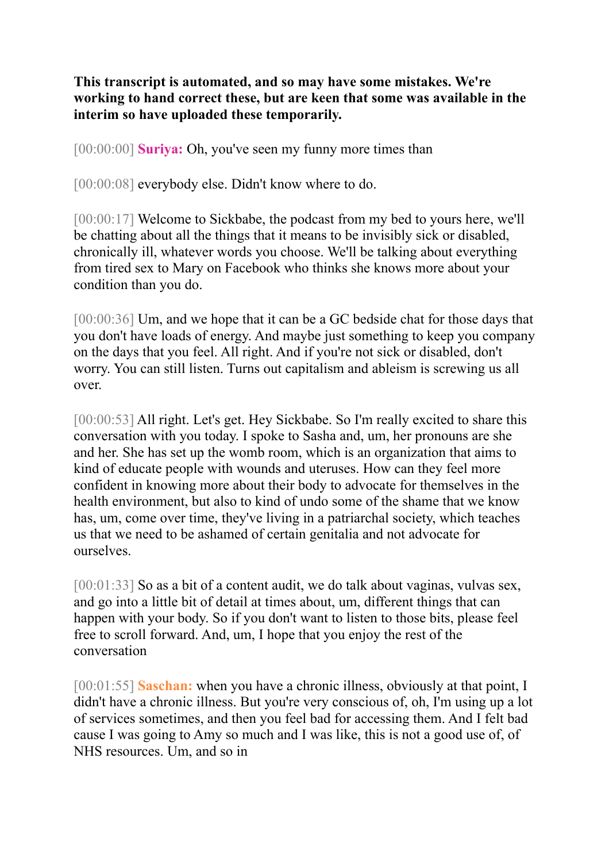**This transcript is automated, and so may have some mistakes. We're working to hand correct these, but are keen that some was available in the interim so have uploaded these temporarily.** 

[00:00:00] **Suriya:** Oh, you've seen my funny more times than

[00:00:08] everybody else. Didn't know where to do.

[00:00:17] Welcome to Sickbabe, the podcast from my bed to yours here, we'll be chatting about all the things that it means to be invisibly sick or disabled, chronically ill, whatever words you choose. We'll be talking about everything from tired sex to Mary on Facebook who thinks she knows more about your condition than you do.

[00:00:36] Um, and we hope that it can be a GC bedside chat for those days that you don't have loads of energy. And maybe just something to keep you company on the days that you feel. All right. And if you're not sick or disabled, don't worry. You can still listen. Turns out capitalism and ableism is screwing us all over.

[00:00:53] All right. Let's get. Hey Sickbabe. So I'm really excited to share this conversation with you today. I spoke to Sasha and, um, her pronouns are she and her. She has set up the womb room, which is an organization that aims to kind of educate people with wounds and uteruses. How can they feel more confident in knowing more about their body to advocate for themselves in the health environment, but also to kind of undo some of the shame that we know has, um, come over time, they've living in a patriarchal society, which teaches us that we need to be ashamed of certain genitalia and not advocate for ourselves.

[00:01:33] So as a bit of a content audit, we do talk about vaginas, vulvas sex, and go into a little bit of detail at times about, um, different things that can happen with your body. So if you don't want to listen to those bits, please feel free to scroll forward. And, um, I hope that you enjoy the rest of the conversation

[00:01:55] **Saschan:** when you have a chronic illness, obviously at that point, I didn't have a chronic illness. But you're very conscious of, oh, I'm using up a lot of services sometimes, and then you feel bad for accessing them. And I felt bad cause I was going to Amy so much and I was like, this is not a good use of, of NHS resources. Um, and so in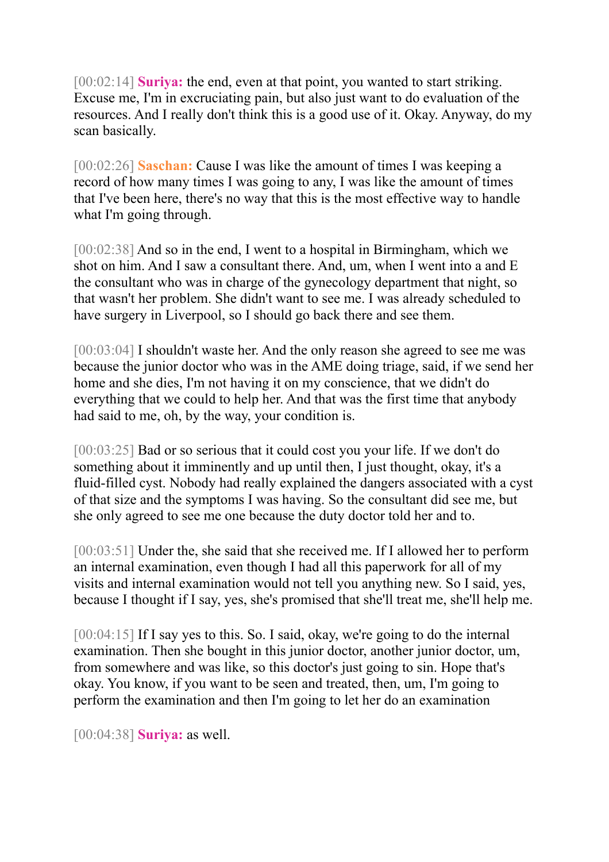[00:02:14] **Suriya:** the end, even at that point, you wanted to start striking. Excuse me, I'm in excruciating pain, but also just want to do evaluation of the resources. And I really don't think this is a good use of it. Okay. Anyway, do my scan basically.

[00:02:26] **Saschan:** Cause I was like the amount of times I was keeping a record of how many times I was going to any, I was like the amount of times that I've been here, there's no way that this is the most effective way to handle what I'm going through.

[00:02:38] And so in the end, I went to a hospital in Birmingham, which we shot on him. And I saw a consultant there. And, um, when I went into a and E the consultant who was in charge of the gynecology department that night, so that wasn't her problem. She didn't want to see me. I was already scheduled to have surgery in Liverpool, so I should go back there and see them.

[00:03:04] I shouldn't waste her. And the only reason she agreed to see me was because the junior doctor who was in the AME doing triage, said, if we send her home and she dies, I'm not having it on my conscience, that we didn't do everything that we could to help her. And that was the first time that anybody had said to me, oh, by the way, your condition is.

[00:03:25] Bad or so serious that it could cost you your life. If we don't do something about it imminently and up until then, I just thought, okay, it's a fluid-filled cyst. Nobody had really explained the dangers associated with a cyst of that size and the symptoms I was having. So the consultant did see me, but she only agreed to see me one because the duty doctor told her and to.

[00:03:51] Under the, she said that she received me. If I allowed her to perform an internal examination, even though I had all this paperwork for all of my visits and internal examination would not tell you anything new. So I said, yes, because I thought if I say, yes, she's promised that she'll treat me, she'll help me.

[00:04:15] If I say yes to this. So. I said, okay, we're going to do the internal examination. Then she bought in this junior doctor, another junior doctor, um, from somewhere and was like, so this doctor's just going to sin. Hope that's okay. You know, if you want to be seen and treated, then, um, I'm going to perform the examination and then I'm going to let her do an examination

[00:04:38] **Suriya:** as well.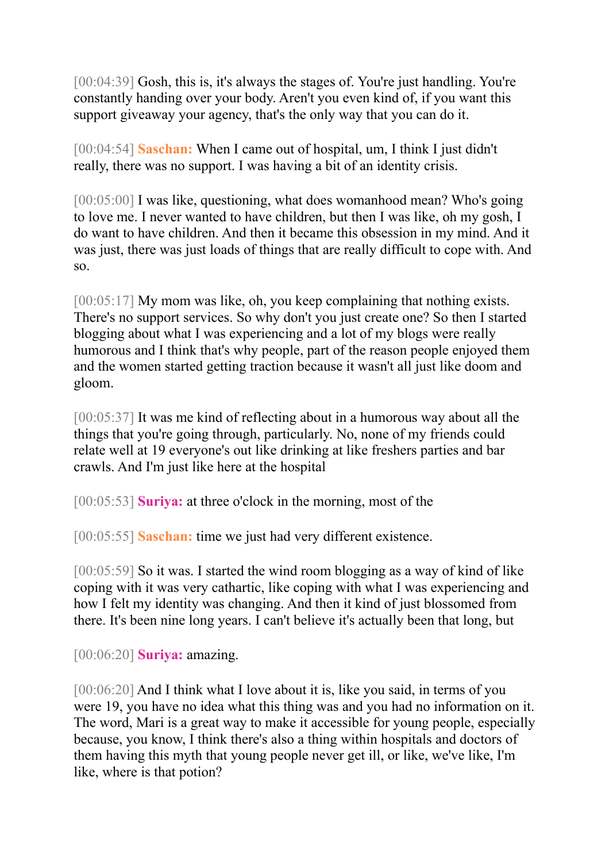[00:04:39] Gosh, this is, it's always the stages of. You're just handling. You're constantly handing over your body. Aren't you even kind of, if you want this support giveaway your agency, that's the only way that you can do it.

[00:04:54] **Saschan:** When I came out of hospital, um, I think I just didn't really, there was no support. I was having a bit of an identity crisis.

[00:05:00] I was like, questioning, what does womanhood mean? Who's going to love me. I never wanted to have children, but then I was like, oh my gosh, I do want to have children. And then it became this obsession in my mind. And it was just, there was just loads of things that are really difficult to cope with. And so.

[00:05:17] My mom was like, oh, you keep complaining that nothing exists. There's no support services. So why don't you just create one? So then I started blogging about what I was experiencing and a lot of my blogs were really humorous and I think that's why people, part of the reason people enjoyed them and the women started getting traction because it wasn't all just like doom and gloom.

[00:05:37] It was me kind of reflecting about in a humorous way about all the things that you're going through, particularly. No, none of my friends could relate well at 19 everyone's out like drinking at like freshers parties and bar crawls. And I'm just like here at the hospital

[00:05:53] **Suriya:** at three o'clock in the morning, most of the

[00:05:55] **Saschan:** time we just had very different existence.

[00:05:59] So it was. I started the wind room blogging as a way of kind of like coping with it was very cathartic, like coping with what I was experiencing and how I felt my identity was changing. And then it kind of just blossomed from there. It's been nine long years. I can't believe it's actually been that long, but

[00:06:20] **Suriya:** amazing.

[00:06:20] And I think what I love about it is, like you said, in terms of you were 19, you have no idea what this thing was and you had no information on it. The word, Mari is a great way to make it accessible for young people, especially because, you know, I think there's also a thing within hospitals and doctors of them having this myth that young people never get ill, or like, we've like, I'm like, where is that potion?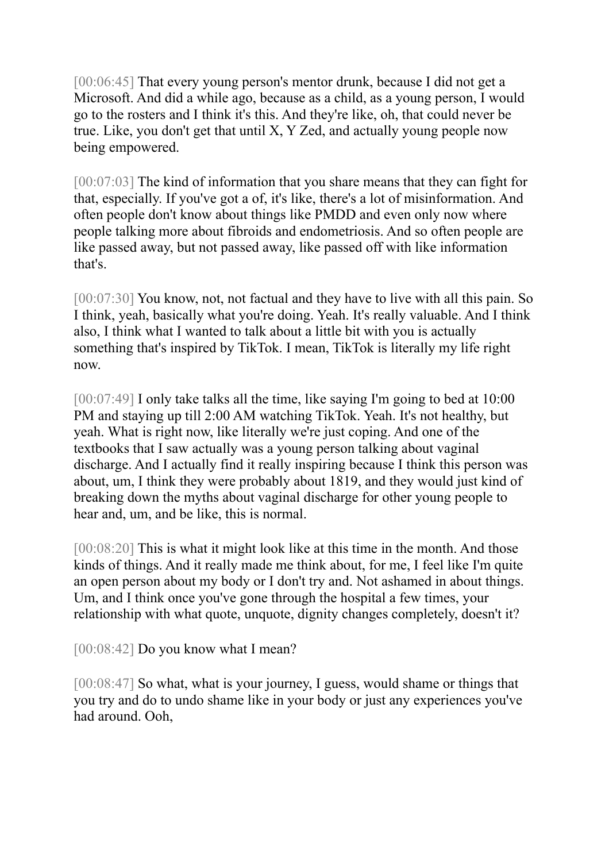[00:06:45] That every young person's mentor drunk, because I did not get a Microsoft. And did a while ago, because as a child, as a young person, I would go to the rosters and I think it's this. And they're like, oh, that could never be true. Like, you don't get that until X, Y Zed, and actually young people now being empowered.

[00:07:03] The kind of information that you share means that they can fight for that, especially. If you've got a of, it's like, there's a lot of misinformation. And often people don't know about things like PMDD and even only now where people talking more about fibroids and endometriosis. And so often people are like passed away, but not passed away, like passed off with like information that's.

[00:07:30] You know, not, not factual and they have to live with all this pain. So I think, yeah, basically what you're doing. Yeah. It's really valuable. And I think also, I think what I wanted to talk about a little bit with you is actually something that's inspired by TikTok. I mean, TikTok is literally my life right now.

[00:07:49] I only take talks all the time, like saying I'm going to bed at 10:00 PM and staying up till 2:00 AM watching TikTok. Yeah. It's not healthy, but yeah. What is right now, like literally we're just coping. And one of the textbooks that I saw actually was a young person talking about vaginal discharge. And I actually find it really inspiring because I think this person was about, um, I think they were probably about 1819, and they would just kind of breaking down the myths about vaginal discharge for other young people to hear and, um, and be like, this is normal.

[00:08:20] This is what it might look like at this time in the month. And those kinds of things. And it really made me think about, for me, I feel like I'm quite an open person about my body or I don't try and. Not ashamed in about things. Um, and I think once you've gone through the hospital a few times, your relationship with what quote, unquote, dignity changes completely, doesn't it?

[00:08:42] Do you know what I mean?

[00:08:47] So what, what is your journey, I guess, would shame or things that you try and do to undo shame like in your body or just any experiences you've had around. Ooh,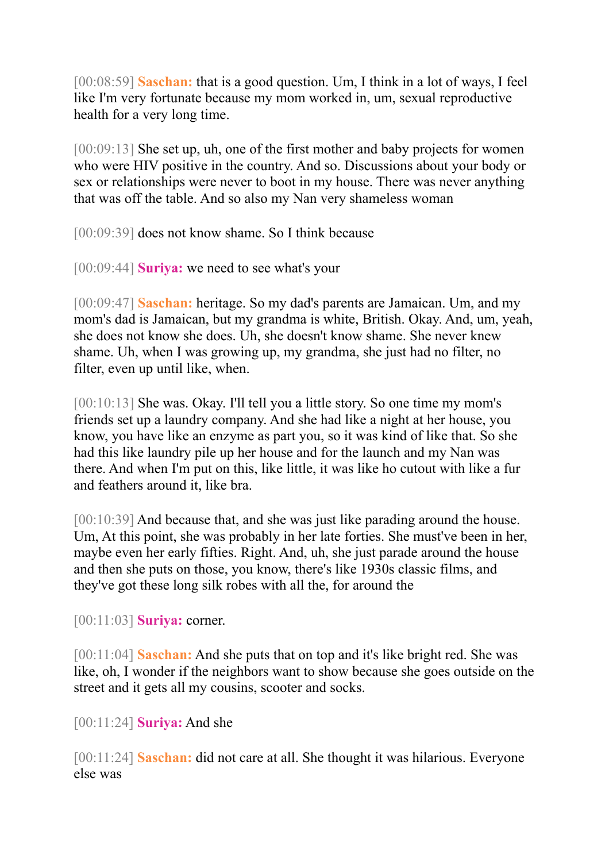[00:08:59] **Saschan:** that is a good question. Um, I think in a lot of ways, I feel like I'm very fortunate because my mom worked in, um, sexual reproductive health for a very long time.

[00:09:13] She set up, uh, one of the first mother and baby projects for women who were HIV positive in the country. And so. Discussions about your body or sex or relationships were never to boot in my house. There was never anything that was off the table. And so also my Nan very shameless woman

[00:09:39] does not know shame. So I think because

[00:09:44] **Suriya:** we need to see what's your

[00:09:47] **Saschan:** heritage. So my dad's parents are Jamaican. Um, and my mom's dad is Jamaican, but my grandma is white, British. Okay. And, um, yeah, she does not know she does. Uh, she doesn't know shame. She never knew shame. Uh, when I was growing up, my grandma, she just had no filter, no filter, even up until like, when.

[00:10:13] She was. Okay. I'll tell you a little story. So one time my mom's friends set up a laundry company. And she had like a night at her house, you know, you have like an enzyme as part you, so it was kind of like that. So she had this like laundry pile up her house and for the launch and my Nan was there. And when I'm put on this, like little, it was like ho cutout with like a fur and feathers around it, like bra.

[00:10:39] And because that, and she was just like parading around the house. Um, At this point, she was probably in her late forties. She must've been in her, maybe even her early fifties. Right. And, uh, she just parade around the house and then she puts on those, you know, there's like 1930s classic films, and they've got these long silk robes with all the, for around the

[00:11:03] **Suriya:** corner.

[00:11:04] **Saschan:** And she puts that on top and it's like bright red. She was like, oh, I wonder if the neighbors want to show because she goes outside on the street and it gets all my cousins, scooter and socks.

[00:11:24] **Suriya:** And she

[00:11:24] **Saschan:** did not care at all. She thought it was hilarious. Everyone else was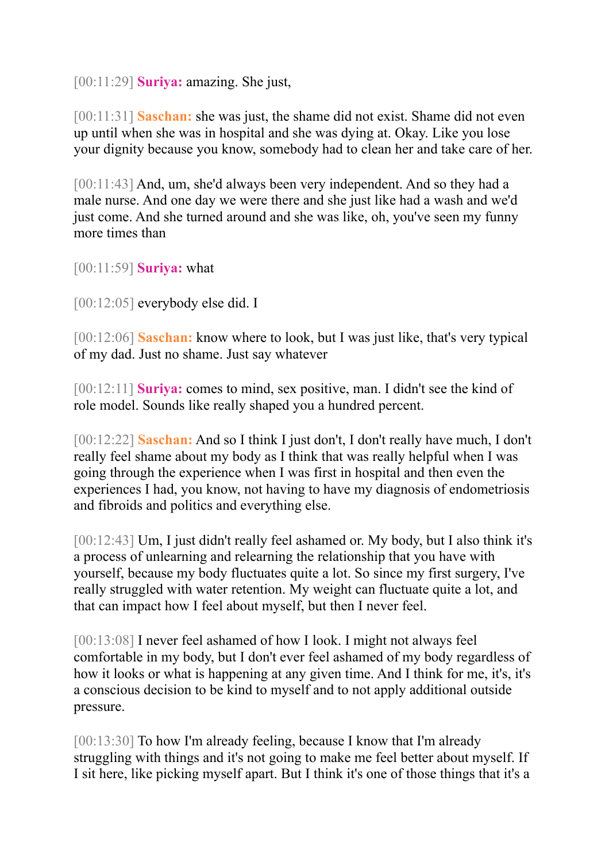[00:11:29] **Suriya:** amazing. She just,

[00:11:31] **Saschan:** she was just, the shame did not exist. Shame did not even up until when she was in hospital and she was dying at. Okay. Like you lose your dignity because you know, somebody had to clean her and take care of her.

[00:11:43] And, um, she'd always been very independent. And so they had a male nurse. And one day we were there and she just like had a wash and we'd just come. And she turned around and she was like, oh, you've seen my funny more times than

[00:11:59] **Suriya:** what

[00:12:05] everybody else did. I

[00:12:06] **Saschan:** know where to look, but I was just like, that's very typical of my dad. Just no shame. Just say whatever

[00:12:11] **Suriya:** comes to mind, sex positive, man. I didn't see the kind of role model. Sounds like really shaped you a hundred percent.

[00:12:22] **Saschan:** And so I think I just don't, I don't really have much, I don't really feel shame about my body as I think that was really helpful when I was going through the experience when I was first in hospital and then even the experiences I had, you know, not having to have my diagnosis of endometriosis and fibroids and politics and everything else.

[00:12:43] Um, I just didn't really feel ashamed or. My body, but I also think it's a process of unlearning and relearning the relationship that you have with yourself, because my body fluctuates quite a lot. So since my first surgery, I've really struggled with water retention. My weight can fluctuate quite a lot, and that can impact how I feel about myself, but then I never feel.

[00:13:08] I never feel ashamed of how I look. I might not always feel comfortable in my body, but I don't ever feel ashamed of my body regardless of how it looks or what is happening at any given time. And I think for me, it's, it's a conscious decision to be kind to myself and to not apply additional outside pressure.

[00:13:30] To how I'm already feeling, because I know that I'm already struggling with things and it's not going to make me feel better about myself. If I sit here, like picking myself apart. But I think it's one of those things that it's a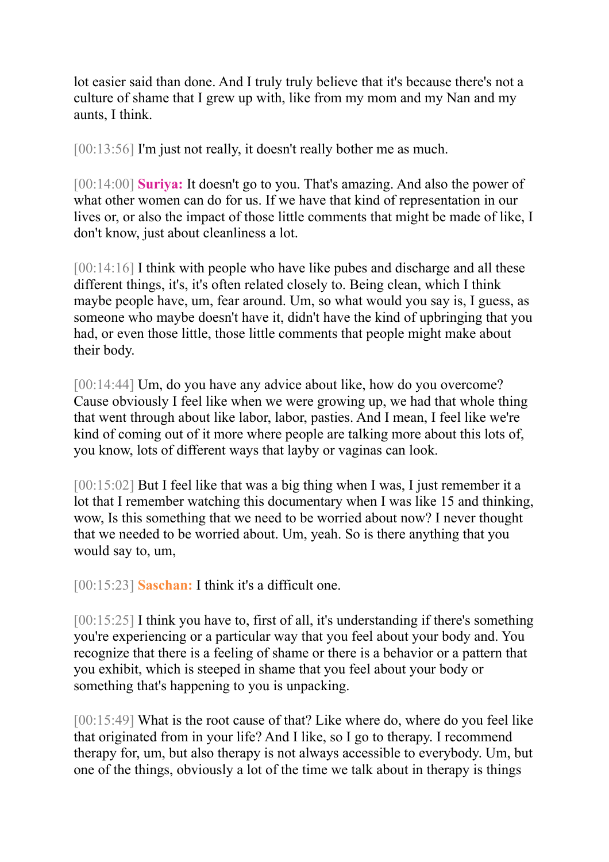lot easier said than done. And I truly truly believe that it's because there's not a culture of shame that I grew up with, like from my mom and my Nan and my aunts, I think.

[00:13:56] I'm just not really, it doesn't really bother me as much.

[00:14:00] **Suriya:** It doesn't go to you. That's amazing. And also the power of what other women can do for us. If we have that kind of representation in our lives or, or also the impact of those little comments that might be made of like, I don't know, just about cleanliness a lot.

[00:14:16] I think with people who have like pubes and discharge and all these different things, it's, it's often related closely to. Being clean, which I think maybe people have, um, fear around. Um, so what would you say is, I guess, as someone who maybe doesn't have it, didn't have the kind of upbringing that you had, or even those little, those little comments that people might make about their body.

[00:14:44] Um, do you have any advice about like, how do you overcome? Cause obviously I feel like when we were growing up, we had that whole thing that went through about like labor, labor, pasties. And I mean, I feel like we're kind of coming out of it more where people are talking more about this lots of, you know, lots of different ways that layby or vaginas can look.

[00:15:02] But I feel like that was a big thing when I was, I just remember it a lot that I remember watching this documentary when I was like 15 and thinking, wow, Is this something that we need to be worried about now? I never thought that we needed to be worried about. Um, yeah. So is there anything that you would say to, um,

[00:15:23] **Saschan:** I think it's a difficult one.

[00:15:25] I think you have to, first of all, it's understanding if there's something you're experiencing or a particular way that you feel about your body and. You recognize that there is a feeling of shame or there is a behavior or a pattern that you exhibit, which is steeped in shame that you feel about your body or something that's happening to you is unpacking.

[00:15:49] What is the root cause of that? Like where do, where do you feel like that originated from in your life? And I like, so I go to therapy. I recommend therapy for, um, but also therapy is not always accessible to everybody. Um, but one of the things, obviously a lot of the time we talk about in therapy is things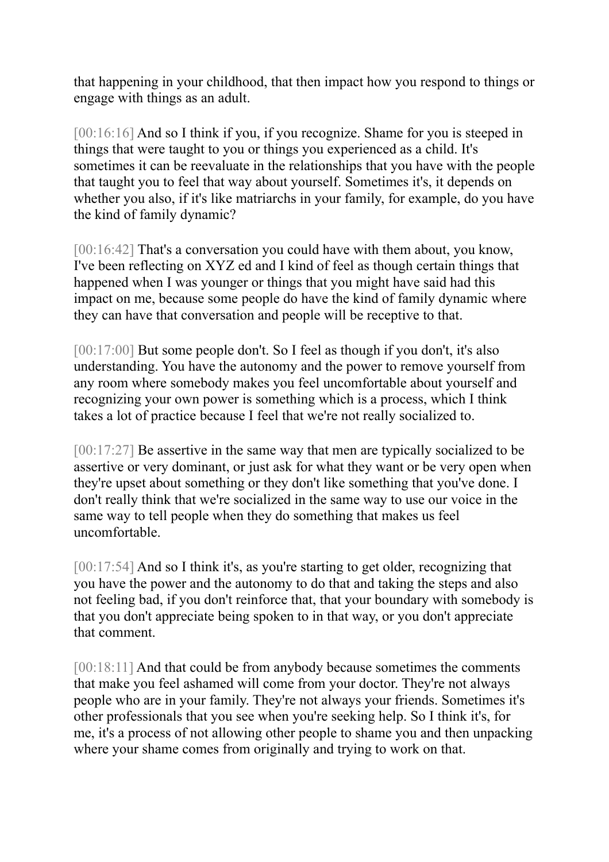that happening in your childhood, that then impact how you respond to things or engage with things as an adult.

[00:16:16] And so I think if you, if you recognize. Shame for you is steeped in things that were taught to you or things you experienced as a child. It's sometimes it can be reevaluate in the relationships that you have with the people that taught you to feel that way about yourself. Sometimes it's, it depends on whether you also, if it's like matriarchs in your family, for example, do you have the kind of family dynamic?

[00:16:42] That's a conversation you could have with them about, you know, I've been reflecting on XYZ ed and I kind of feel as though certain things that happened when I was younger or things that you might have said had this impact on me, because some people do have the kind of family dynamic where they can have that conversation and people will be receptive to that.

[00:17:00] But some people don't. So I feel as though if you don't, it's also understanding. You have the autonomy and the power to remove yourself from any room where somebody makes you feel uncomfortable about yourself and recognizing your own power is something which is a process, which I think takes a lot of practice because I feel that we're not really socialized to.

[00:17:27] Be assertive in the same way that men are typically socialized to be assertive or very dominant, or just ask for what they want or be very open when they're upset about something or they don't like something that you've done. I don't really think that we're socialized in the same way to use our voice in the same way to tell people when they do something that makes us feel uncomfortable.

[00:17:54] And so I think it's, as you're starting to get older, recognizing that you have the power and the autonomy to do that and taking the steps and also not feeling bad, if you don't reinforce that, that your boundary with somebody is that you don't appreciate being spoken to in that way, or you don't appreciate that comment.

[00:18:11] And that could be from anybody because sometimes the comments that make you feel ashamed will come from your doctor. They're not always people who are in your family. They're not always your friends. Sometimes it's other professionals that you see when you're seeking help. So I think it's, for me, it's a process of not allowing other people to shame you and then unpacking where your shame comes from originally and trying to work on that.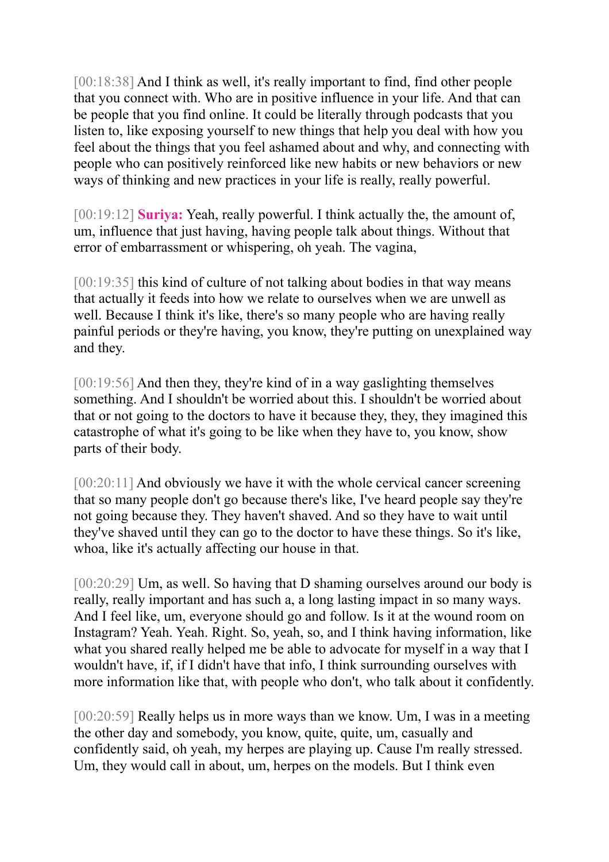[00:18:38] And I think as well, it's really important to find, find other people that you connect with. Who are in positive influence in your life. And that can be people that you find online. It could be literally through podcasts that you listen to, like exposing yourself to new things that help you deal with how you feel about the things that you feel ashamed about and why, and connecting with people who can positively reinforced like new habits or new behaviors or new ways of thinking and new practices in your life is really, really powerful.

[00:19:12] **Suriya:** Yeah, really powerful. I think actually the, the amount of, um, influence that just having, having people talk about things. Without that error of embarrassment or whispering, oh yeah. The vagina,

[00:19:35] this kind of culture of not talking about bodies in that way means that actually it feeds into how we relate to ourselves when we are unwell as well. Because I think it's like, there's so many people who are having really painful periods or they're having, you know, they're putting on unexplained way and they.

[00:19:56] And then they, they're kind of in a way gas lighting themselves something. And I shouldn't be worried about this. I shouldn't be worried about that or not going to the doctors to have it because they, they, they imagined this catastrophe of what it's going to be like when they have to, you know, show parts of their body.

[00:20:11] And obviously we have it with the whole cervical cancer screening that so many people don't go because there's like, I've heard people say they're not going because they. They haven't shaved. And so they have to wait until they've shaved until they can go to the doctor to have these things. So it's like, whoa, like it's actually affecting our house in that.

[00:20:29] Um, as well. So having that D shaming ourselves around our body is really, really important and has such a, a long lasting impact in so many ways. And I feel like, um, everyone should go and follow. Is it at the wound room on Instagram? Yeah. Yeah. Right. So, yeah, so, and I think having information, like what you shared really helped me be able to advocate for myself in a way that I wouldn't have, if, if I didn't have that info, I think surrounding ourselves with more information like that, with people who don't, who talk about it confidently.

[00:20:59] Really helps us in more ways than we know. Um, I was in a meeting the other day and somebody, you know, quite, quite, um, casually and confidently said, oh yeah, my herpes are playing up. Cause I'm really stressed. Um, they would call in about, um, herpes on the models. But I think even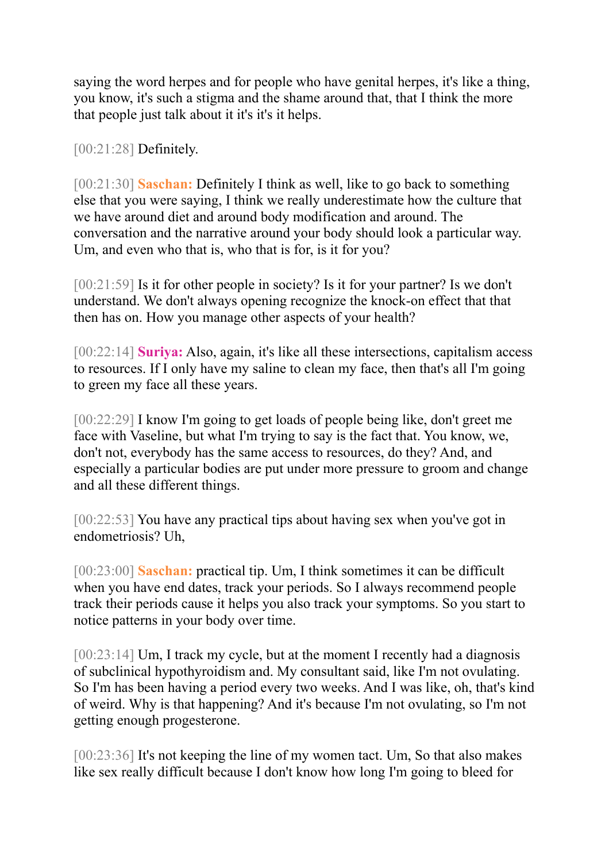saying the word herpes and for people who have genital herpes, it's like a thing, you know, it's such a stigma and the shame around that, that I think the more that people just talk about it it's it's it helps.

[00:21:28] **Definitely.** 

[00:21:30] **Saschan:** Definitely I think as well, like to go back to something else that you were saying, I think we really underestimate how the culture that we have around diet and around body modification and around. The conversation and the narrative around your body should look a particular way. Um, and even who that is, who that is for, is it for you?

[00:21:59] Is it for other people in society? Is it for your partner? Is we don't understand. We don't always opening recognize the knock-on effect that that then has on. How you manage other aspects of your health?

[00:22:14] **Suriya:** Also, again, it's like all these intersections, capitalism access to resources. If I only have my saline to clean my face, then that's all I'm going to green my face all these years.

[00:22:29] I know I'm going to get loads of people being like, don't greet me face with Vaseline, but what I'm trying to say is the fact that. You know, we, don't not, everybody has the same access to resources, do they? And, and especially a particular bodies are put under more pressure to groom and change and all these different things.

[00:22:53] You have any practical tips about having sex when you've got in endometriosis? Uh,

[00:23:00] **Saschan:** practical tip. Um, I think sometimes it can be difficult when you have end dates, track your periods. So I always recommend people track their periods cause it helps you also track your symptoms. So you start to notice patterns in your body over time.

[00:23:14] Um, I track my cycle, but at the moment I recently had a diagnosis of subclinical hypothyroidism and. My consultant said, like I'm not ovulating. So I'm has been having a period every two weeks. And I was like, oh, that's kind of weird. Why is that happening? And it's because I'm not ovulating, so I'm not getting enough progesterone.

[00:23:36] It's not keeping the line of my women tact. Um, So that also makes like sex really difficult because I don't know how long I'm going to bleed for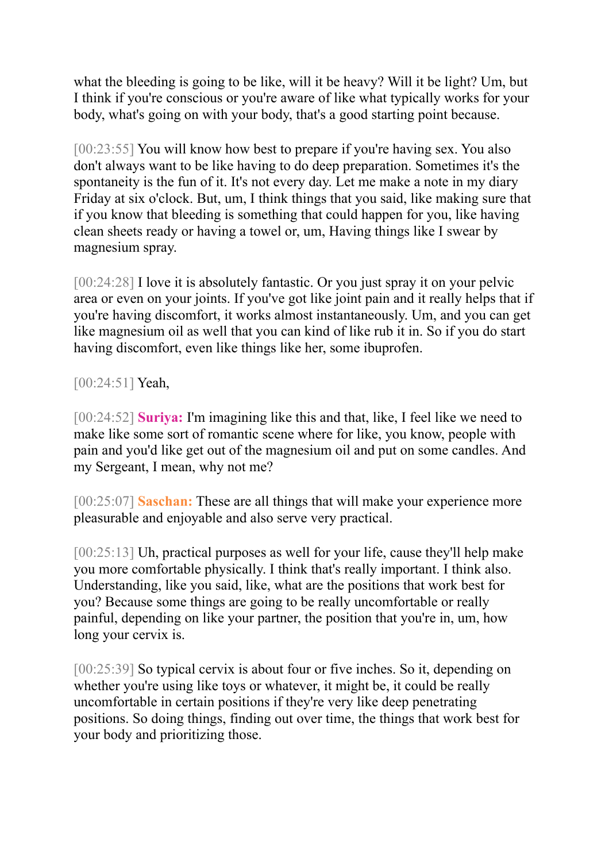what the bleeding is going to be like, will it be heavy? Will it be light? Um, but I think if you're conscious or you're aware of like what typically works for your body, what's going on with your body, that's a good starting point because.

[00:23:55] You will know how best to prepare if you're having sex. You also don't always want to be like having to do deep preparation. Sometimes it's the spontaneity is the fun of it. It's not every day. Let me make a note in my diary Friday at six o'clock. But, um, I think things that you said, like making sure that if you know that bleeding is something that could happen for you, like having clean sheets ready or having a towel or, um, Having things like I swear by magnesium spray.

[00:24:28] I love it is absolutely fantastic. Or you just spray it on your pelvic area or even on your joints. If you've got like joint pain and it really helps that if you're having discomfort, it works almost instantaneously. Um, and you can get like magnesium oil as well that you can kind of like rub it in. So if you do start having discomfort, even like things like her, some ibuprofen.

[00:24:51] **Yeah**,

[00:24:52] **Suriya:** I'm imagining like this and that, like, I feel like we need to make like some sort of romantic scene where for like, you know, people with pain and you'd like get out of the magnesium oil and put on some candles. And my Sergeant, I mean, why not me?

[00:25:07] **Saschan:** These are all things that will make your experience more pleasurable and enjoyable and also serve very practical.

[00:25:13] Uh, practical purposes as well for your life, cause they'll help make you more comfortable physically. I think that's really important. I think also. Understanding, like you said, like, what are the positions that work best for you? Because some things are going to be really uncomfortable or really painful, depending on like your partner, the position that you're in, um, how long your cervix is.

[00:25:39] So typical cervix is about four or five inches. So it, depending on whether you're using like toys or whatever, it might be, it could be really uncomfortable in certain positions if they're very like deep penetrating positions. So doing things, finding out over time, the things that work best for your body and prioritizing those.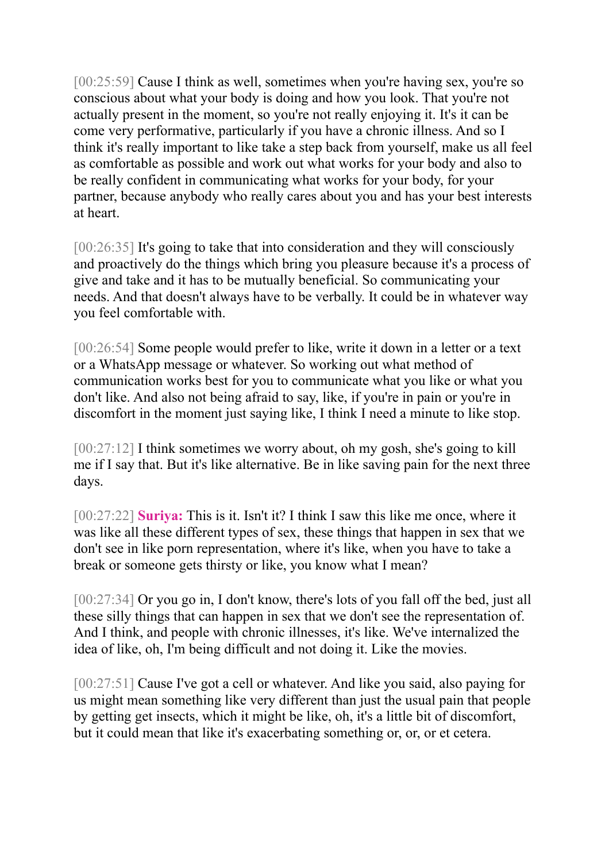[00:25:59] Cause I think as well, sometimes when you're having sex, you're so conscious about what your body is doing and how you look. That you're not actually present in the moment, so you're not really enjoying it. It's it can be come very performative, particularly if you have a chronic illness. And so I think it's really important to like take a step back from yourself, make us all feel as comfortable as possible and work out what works for your body and also to be really confident in communicating what works for your body, for your partner, because anybody who really cares about you and has your best interests at heart.

[00:26:35] It's going to take that into consideration and they will consciously and proactively do the things which bring you pleasure because it's a process of give and take and it has to be mutually beneficial. So communicating your needs. And that doesn't always have to be verbally. It could be in whatever way you feel comfortable with.

[00:26:54] Some people would prefer to like, write it down in a letter or a text or a WhatsApp message or whatever. So working out what method of communication works best for you to communicate what you like or what you don't like. And also not being afraid to say, like, if you're in pain or you're in discomfort in the moment just saying like, I think I need a minute to like stop.

[00:27:12] I think sometimes we worry about, oh my gosh, she's going to kill me if I say that. But it's like alternative. Be in like saving pain for the next three days.

[00:27:22] **Suriya:** This is it. Isn't it? I think I saw this like me once, where it was like all these different types of sex, these things that happen in sex that we don't see in like porn representation, where it's like, when you have to take a break or someone gets thirsty or like, you know what I mean?

[00:27:34] Or you go in, I don't know, there's lots of you fall off the bed, just all these silly things that can happen in sex that we don't see the representation of. And I think, and people with chronic illnesses, it's like. We've internalized the idea of like, oh, I'm being difficult and not doing it. Like the movies.

[00:27:51] Cause I've got a cell or whatever. And like you said, also paying for us might mean something like very different than just the usual pain that people by getting get insects, which it might be like, oh, it's a little bit of discomfort, but it could mean that like it's exacerbating something or, or, or et cetera.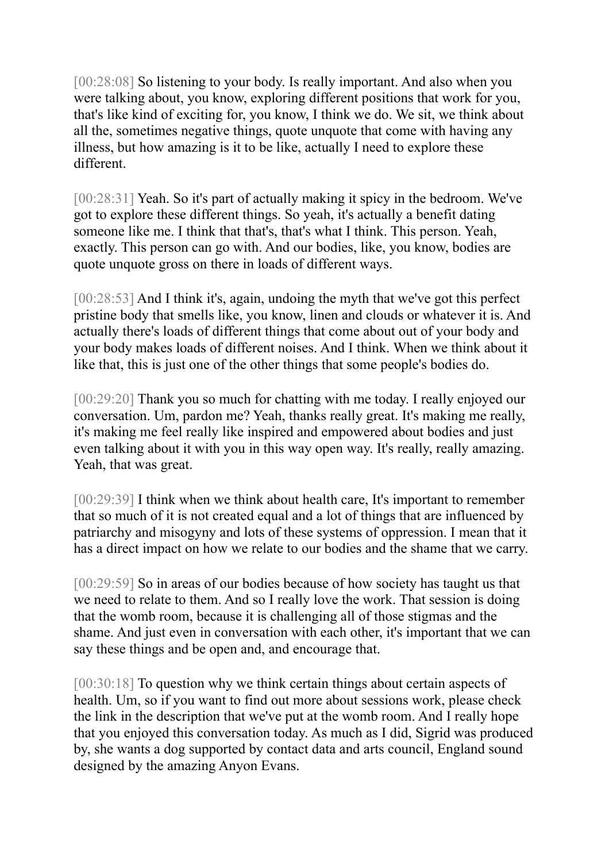[00:28:08] So listening to your body. Is really important. And also when you were talking about, you know, exploring different positions that work for you, that's like kind of exciting for, you know, I think we do. We sit, we think about all the, sometimes negative things, quote unquote that come with having any illness, but how amazing is it to be like, actually I need to explore these different.

[00:28:31] Yeah. So it's part of actually making it spicy in the bedroom. We've got to explore these different things. So yeah, it's actually a benefit dating someone like me. I think that that's, that's what I think. This person. Yeah, exactly. This person can go with. And our bodies, like, you know, bodies are quote unquote gross on there in loads of different ways.

[00:28:53] And I think it's, again, undoing the myth that we've got this perfect pristine body that smells like, you know, linen and clouds or whatever it is. And actually there's loads of different things that come about out of your body and your body makes loads of different noises. And I think. When we think about it like that, this is just one of the other things that some people's bodies do.

[00:29:20] Thank you so much for chatting with me today. I really enjoyed our conversation. Um, pardon me? Yeah, thanks really great. It's making me really, it's making me feel really like inspired and empowered about bodies and just even talking about it with you in this way open way. It's really, really amazing. Yeah, that was great.

[00:29:39] I think when we think about health care, It's important to remember that so much of it is not created equal and a lot of things that are influenced by patriarchy and misogyny and lots of these systems of oppression. I mean that it has a direct impact on how we relate to our bodies and the shame that we carry.

[00:29:59] So in areas of our bodies because of how society has taught us that we need to relate to them. And so I really love the work. That session is doing that the womb room, because it is challenging all of those stigmas and the shame. And just even in conversation with each other, it's important that we can say these things and be open and, and encourage that.

[00:30:18] To question why we think certain things about certain aspects of health. Um, so if you want to find out more about sessions work, please check the link in the description that we've put at the womb room. And I really hope that you enjoyed this conversation today. As much as I did, Sigrid was produced by, she wants a dog supported by contact data and arts council, England sound designed by the amazing Anyon Evans.